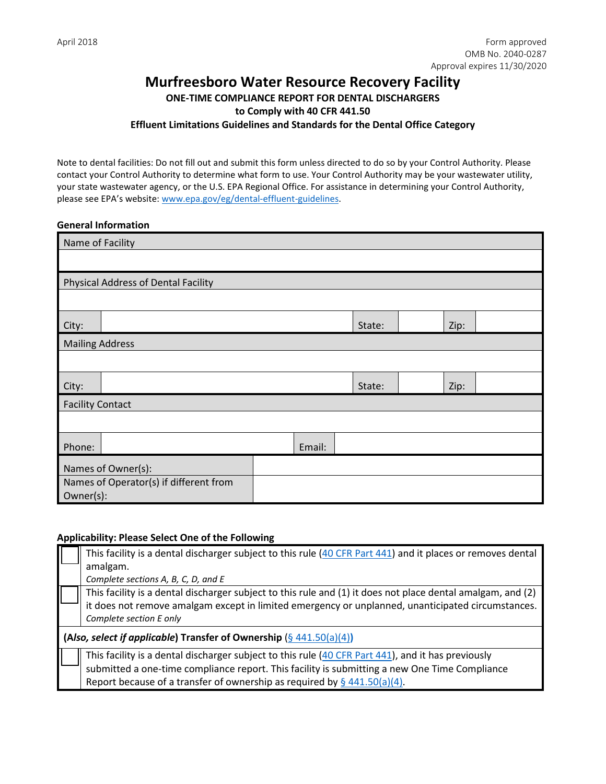# **Murfreesboro Water Resource Recovery Facility ONE-TIME COMPLIANCE REPORT FOR DENTAL DISCHARGERS to Comply with 40 CFR 441.50 Effluent Limitations Guidelines and Standards for the Dental Office Category**

Note to dental facilities: Do not fill out and submit this form unless directed to do so by your Control Authority. Please contact your Control Authority to determine what form to use. Your Control Authority may be your wastewater utility, your state wastewater agency, or the U.S. EPA Regional Office. For assistance in determining your Control Authority, please see EPA's website: [www.epa.gov/eg/dental-effluent-guidelines.](https://www.epa.gov/eg/dental-effluent-guidelines)

### **General Information**

| Name of Facility        |                                                     |  |  |        |      |  |
|-------------------------|-----------------------------------------------------|--|--|--------|------|--|
|                         |                                                     |  |  |        |      |  |
|                         | Physical Address of Dental Facility                 |  |  |        |      |  |
|                         |                                                     |  |  |        |      |  |
| City:                   |                                                     |  |  | State: | Zip: |  |
| <b>Mailing Address</b>  |                                                     |  |  |        |      |  |
|                         |                                                     |  |  |        |      |  |
| City:                   |                                                     |  |  | State: | Zip: |  |
| <b>Facility Contact</b> |                                                     |  |  |        |      |  |
|                         |                                                     |  |  |        |      |  |
| Phone:                  | Email:                                              |  |  |        |      |  |
| Names of Owner(s):      |                                                     |  |  |        |      |  |
|                         | Names of Operator(s) if different from<br>Owner(s): |  |  |        |      |  |

### **Applicability: Please Select One of the Following**

| This facility is a dental discharger subject to this rule (40 CFR Part 441) and it places or removes dental |
|-------------------------------------------------------------------------------------------------------------|
| amalgam.                                                                                                    |
| Complete sections A, B, C, D, and E                                                                         |
| This facility is a dental discharger subject to this rule and (1) it does not place dental amalgam, and (2) |
| it does not remove amalgam except in limited emergency or unplanned, unanticipated circumstances.           |
| Complete section E only                                                                                     |
| (Also, select if applicable) Transfer of Ownership $(§ 441.50(a)(4))$                                       |
| This facility is a dental discharger subject to this rule (40 CFR Part 441), and it has previously          |
| submitted a one-time compliance report. This facility is submitting a new One Time Compliance               |
| Report because of a transfer of ownership as required by $\S$ 441.50(a)(4).                                 |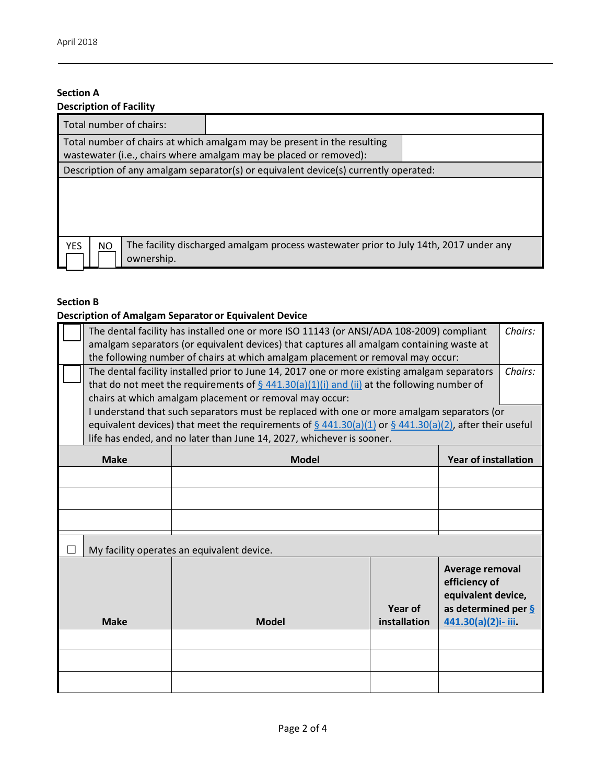# **Section A**

| <b>Description of Facility</b>                                                                                                               |                                                                                     |  |  |  |  |
|----------------------------------------------------------------------------------------------------------------------------------------------|-------------------------------------------------------------------------------------|--|--|--|--|
| Total number of chairs:                                                                                                                      |                                                                                     |  |  |  |  |
| Total number of chairs at which amalgam may be present in the resulting<br>wastewater (i.e., chairs where amalgam may be placed or removed): |                                                                                     |  |  |  |  |
|                                                                                                                                              | Description of any amalgam separator(s) or equivalent device(s) currently operated: |  |  |  |  |
|                                                                                                                                              |                                                                                     |  |  |  |  |
| The facility discharged amalgam process wastewater prior to July 14th, 2017 under any<br><b>YES</b><br>NO.<br>ownership.                     |                                                                                     |  |  |  |  |

## **Section B**

## **Description of Amalgam Separator or Equivalent Device**

|             | The dental facility has installed one or more ISO 11143 (or ANSI/ADA 108-2009) compliant |                                                                                                                                |              |                                  | Chairs: |
|-------------|------------------------------------------------------------------------------------------|--------------------------------------------------------------------------------------------------------------------------------|--------------|----------------------------------|---------|
|             | amalgam separators (or equivalent devices) that captures all amalgam containing waste at |                                                                                                                                |              |                                  |         |
|             |                                                                                          | the following number of chairs at which amalgam placement or removal may occur:                                                |              |                                  |         |
|             |                                                                                          | The dental facility installed prior to June 14, 2017 one or more existing amalgam separators                                   |              |                                  | Chairs: |
|             |                                                                                          | that do not meet the requirements of $\S$ 441.30(a)(1)(i) and (ii) at the following number of                                  |              |                                  |         |
|             |                                                                                          | chairs at which amalgam placement or removal may occur:                                                                        |              |                                  |         |
|             |                                                                                          | I understand that such separators must be replaced with one or more amalgam separators (or                                     |              |                                  |         |
|             |                                                                                          | equivalent devices) that meet the requirements of $\frac{6}{9}$ 441.30(a)(1) or $\frac{6}{9}$ 441.30(a)(2), after their useful |              |                                  |         |
|             |                                                                                          | life has ended, and no later than June 14, 2027, whichever is sooner.                                                          |              |                                  |         |
|             | <b>Make</b>                                                                              | <b>Model</b>                                                                                                                   |              | <b>Year of installation</b>      |         |
|             |                                                                                          |                                                                                                                                |              |                                  |         |
|             |                                                                                          |                                                                                                                                |              |                                  |         |
|             |                                                                                          |                                                                                                                                |              |                                  |         |
|             | My facility operates an equivalent device.                                               |                                                                                                                                |              |                                  |         |
|             |                                                                                          |                                                                                                                                |              |                                  |         |
|             |                                                                                          |                                                                                                                                |              | Average removal<br>efficiency of |         |
|             |                                                                                          |                                                                                                                                |              | equivalent device,               |         |
|             |                                                                                          |                                                                                                                                | Year of      | as determined per $\frac{6}{9}$  |         |
| <b>Make</b> |                                                                                          | <b>Model</b>                                                                                                                   | installation | 441.30(a)(2)i- iii.              |         |
|             |                                                                                          |                                                                                                                                |              |                                  |         |
|             |                                                                                          |                                                                                                                                |              |                                  |         |
|             |                                                                                          |                                                                                                                                |              |                                  |         |
|             |                                                                                          |                                                                                                                                |              |                                  |         |
|             |                                                                                          |                                                                                                                                |              |                                  |         |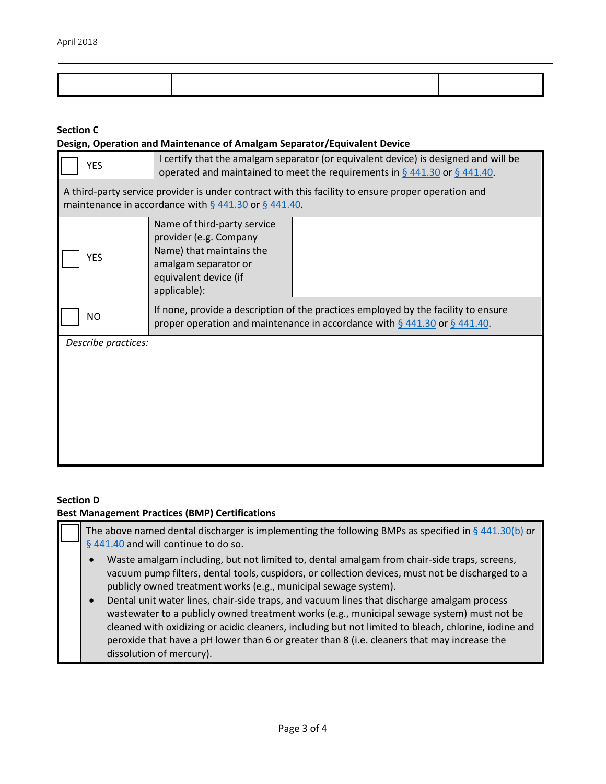### **Section C**

### **Design, Operation and Maintenance of Amalgam Separator/Equivalent Device**

|                                                                                                                                                                  | <b>YES</b>          | I certify that the amalgam separator (or equivalent device) is designed and will be<br>operated and maintained to meet the requirements in $\S$ 441.30 or $\S$ 441.40. |  |  |
|------------------------------------------------------------------------------------------------------------------------------------------------------------------|---------------------|------------------------------------------------------------------------------------------------------------------------------------------------------------------------|--|--|
| A third-party service provider is under contract with this facility to ensure proper operation and<br>maintenance in accordance with $\S$ 441.30 or $\S$ 441.40. |                     |                                                                                                                                                                        |  |  |
|                                                                                                                                                                  | <b>YES</b>          | Name of third-party service<br>provider (e.g. Company<br>Name) that maintains the<br>amalgam separator or<br>equivalent device (if<br>applicable):                     |  |  |
|                                                                                                                                                                  | <b>NO</b>           | If none, provide a description of the practices employed by the facility to ensure<br>proper operation and maintenance in accordance with $\S$ 441.30 or $\S$ 441.40.  |  |  |
|                                                                                                                                                                  | Describe practices: |                                                                                                                                                                        |  |  |

### **Section D**

### **Best Management Practices (BMP) Certifications**

The above named dental discharger is implementing the following BMPs as specified in  $\S$  [441.30\(b\)](https://www.federalregister.gov/d/2017-12338/p-299) or [§ 441.40](https://www.federalregister.gov/d/2017-12338/p-309) and will continue to do so.

- Waste amalgam including, but not limited to, dental amalgam from chair-side traps, screens, vacuum pump filters, dental tools, cuspidors, or collection devices, must not be discharged to a publicly owned treatment works (e.g., municipal sewage system).
- Dental unit water lines, chair-side traps, and vacuum lines that discharge amalgam process wastewater to a publicly owned treatment works (e.g., municipal sewage system) must not be cleaned with oxidizing or acidic cleaners, including but not limited to bleach, chlorine, iodine and peroxide that have a pH lower than 6 or greater than 8 (i.e. cleaners that may increase the dissolution of mercury).